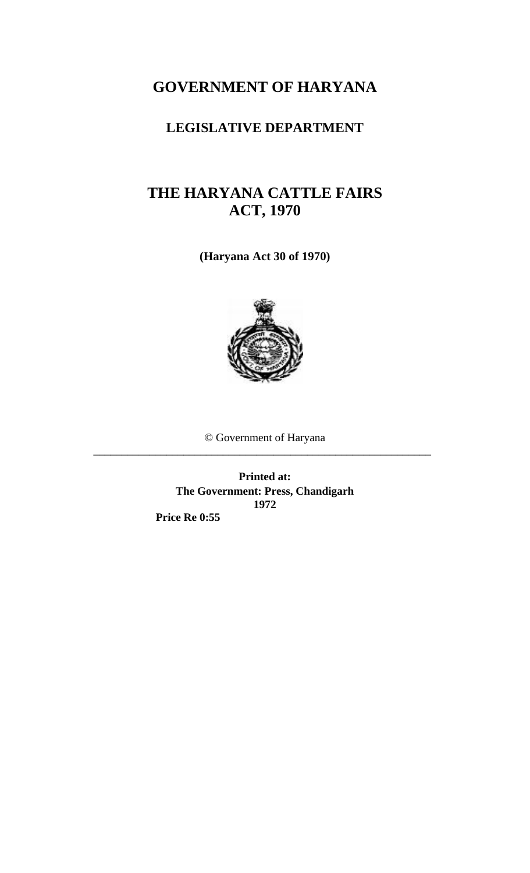## **GOVERNMENT OF HARYANA**

### **LEGISLATIVE DEPARTMENT**

### **THE HARYANA CATTLE FAIRS ACT, 1970**

**(Haryana Act 30 of 1970)** 



© Government of Haryana

\_\_\_\_\_\_\_\_\_\_\_\_\_\_\_\_\_\_\_\_\_\_\_\_\_\_\_\_\_\_\_\_\_\_\_\_\_\_\_\_\_\_\_\_\_\_\_\_\_\_\_\_\_\_\_\_\_\_\_\_

**Printed at: The Government: Press, Chandigarh 1972** 

 **Price Re 0:55**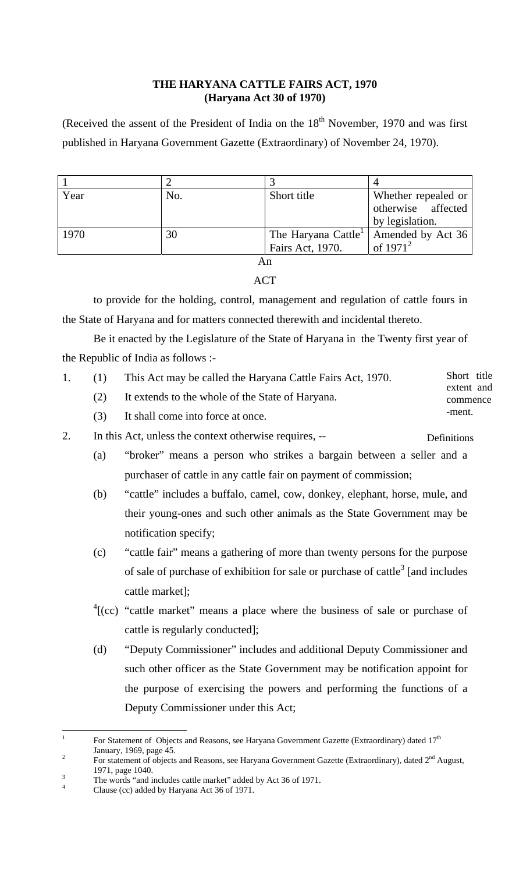#### **THE HARYANA CATTLE FAIRS ACT, 1970 (Haryana Act 30 of 1970)**

(Received the assent of the President of India on the  $18<sup>th</sup>$  November, 1970 and was first published in Haryana Government Gazette (Extraordinary) of November 24, 1970).

| Year | No. | Short title                     | Whether repealed or |
|------|-----|---------------------------------|---------------------|
|      |     |                                 | otherwise affected  |
|      |     |                                 | by legislation.     |
| 1970 | 30  | The Haryana Cattle <sup>1</sup> | Amended by Act 36   |
|      |     | Fairs Act, 1970.                | of $1971^2$         |
|      |     |                                 |                     |

ACT

to provide for the holding, control, management and regulation of cattle fours in the State of Haryana and for matters connected therewith and incidental thereto.

Be it enacted by the Legislature of the State of Haryana in the Twenty first year of the Republic of India as follows :-

|     | This Act may be called the Haryana Cattle Fairs Act, 1970. | Short title |  |
|-----|------------------------------------------------------------|-------------|--|
|     |                                                            | extent and  |  |
| (2) | It extends to the whole of the State of Haryana.           | commence    |  |
| (3) | It shall come into force at once.                          | -ment.      |  |

2. In this Act, unless the context otherwise requires, -- Definitions

- (a) "broker" means a person who strikes a bargain between a seller and a purchaser of cattle in any cattle fair on payment of commission;
- (b) "cattle" includes a buffalo, camel, cow, donkey, elephant, horse, mule, and their young-ones and such other animals as the State Government may be notification specify;
- (c) "cattle fair" means a gathering of more than twenty persons for the purpose of sale of purchase of exhibition for sale or purchase of cattle<sup>[3](#page-1-2)</sup> [and includes cattle market];
- ${}^{4}$  ${}^{4}$  ${}^{4}$ [(cc) "cattle market" means a place where the business of sale or purchase of cattle is regularly conducted];
- (d) "Deputy Commissioner" includes and additional Deputy Commissioner and such other officer as the State Government may be notification appoint for the purpose of exercising the powers and performing the functions of a Deputy Commissioner under this Act;

<span id="page-1-0"></span> $\overline{a}$ 1 For Statement of Objects and Reasons, see Haryana Government Gazette (Extraordinary) dated  $17<sup>th</sup>$ January, 1969, page 45.

<span id="page-1-1"></span>For statement of objects and Reasons, see Haryana Government Gazette (Extraordinary), dated 2<sup>nd</sup> August,  $1971, \text{page } 1040.$ 

<span id="page-1-2"></span> $T_{\text{th}}$  The words "and includes cattle market" added by Act 36 of 1971.

<span id="page-1-3"></span>Clause (cc) added by Haryana Act 36 of 1971.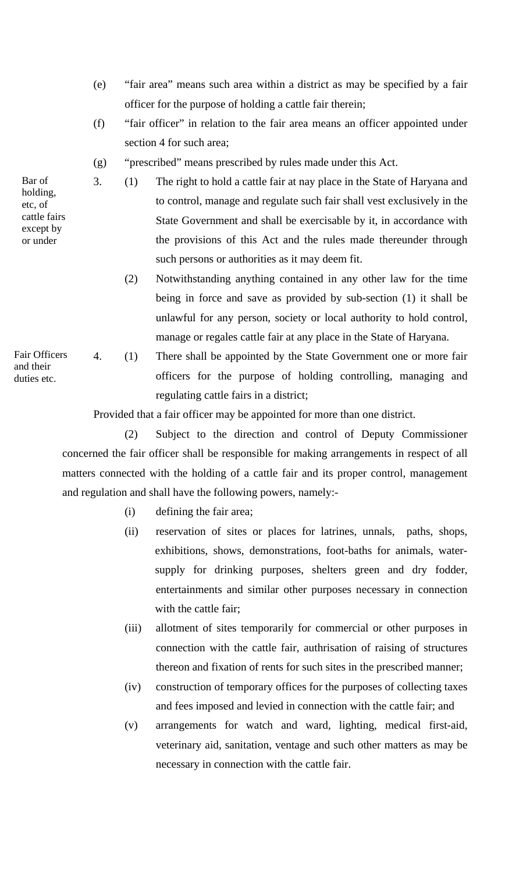- (e) "fair area" means such area within a district as may be specified by a fair officer for the purpose of holding a cattle fair therein;
- (f) "fair officer" in relation to the fair area means an officer appointed under section 4 for such area;
- (g) "prescribed" means prescribed by rules made under this Act.
- 3. (1) The right to hold a cattle fair at nay place in the State of Haryana and to control, manage and regulate such fair shall vest exclusively in the State Government and shall be exercisable by it, in accordance with the provisions of this Act and the rules made thereunder through such persons or authorities as it may deem fit.
	- (2) Notwithstanding anything contained in any other law for the time being in force and save as provided by sub-section (1) it shall be unlawful for any person, society or local authority to hold control, manage or regales cattle fair at any place in the State of Haryana.
- 4. (1) There shall be appointed by the State Government one or more fair officers for the purpose of holding controlling, managing and regulating cattle fairs in a district;

Provided that a fair officer may be appointed for more than one district.

(2) Subject to the direction and control of Deputy Commissioner concerned the fair officer shall be responsible for making arrangements in respect of all matters connected with the holding of a cattle fair and its proper control, management and regulation and shall have the following powers, namely:-

- (i) defining the fair area;
- (ii) reservation of sites or places for latrines, unnals, paths, shops, exhibitions, shows, demonstrations, foot-baths for animals, water supply for drinking purposes, shelters green and dry fodder, entertainments and similar other purposes necessary in connection with the cattle fair;
- (iii) allotment of sites temporarily for commercial or other purposes in connection with the cattle fair, authrisation of raising of structures thereon and fixation of rents for such sites in the prescribed manner;
- (iv) construction of temporary offices for the purposes of collecting taxes and fees imposed and levied in connection with the cattle fair; and
- (v) arrangements for watch and ward, lighting, medical first-aid, veterinary aid, sanitation, ventage and such other matters as may be necessary in connection with the cattle fair.

Bar of holding, etc, of cattle fairs except by or under

Fair Officers and their duties etc.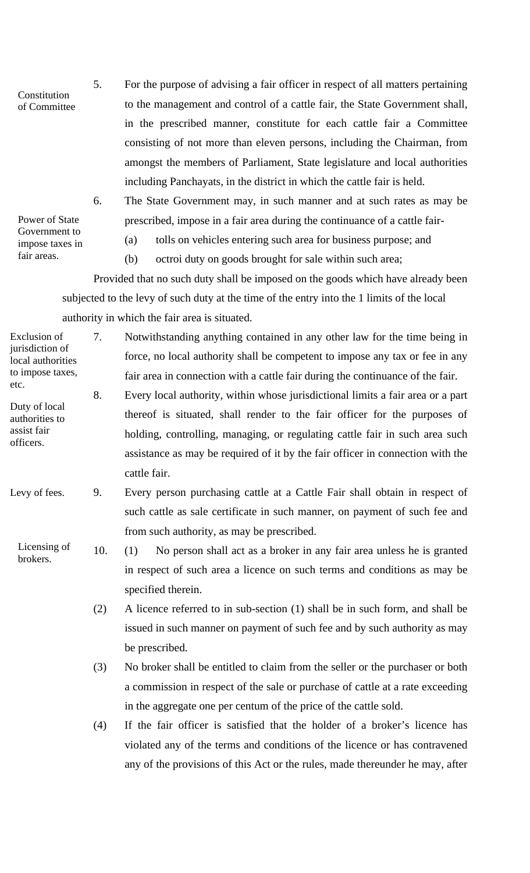Constitution of Committee 5. For the purpose of advising a fair officer in respect of all matters pertaining to the management and control of a cattle fair, the State Government shall, in the prescribed manner, constitute for each cattle fair a Committee consisting of not more than eleven persons, including the Chairman, from amongst the members of Parliament, State legislature and local authorities including Panchayats, in the district in which the cattle fair is held.

Power of State Government to impose taxes in fair areas.

officers.

6. The State Government may, in such manner and at such rates as may be prescribed, impose in a fair area during the continuance of a cattle fair-

- (a) tolls on vehicles entering such area for business purpose; and
- (b) octroi duty on goods brought for sale within such area;

Provided that no such duty shall be imposed on the goods which have already been subjected to the levy of such duty at the time of the entry into the 1 limits of the local authority in which the fair area is situated.

Duty of local authorities to assist fair Exclusion of jurisdiction of local authorities to impose taxes, etc. 7. Notwithstanding anything contained in any other law for the time being in force, no local authority shall be competent to impose any tax or fee in any fair area in connection with a cattle fair during the continuance of the fair. 8. Every local authority, within whose jurisdictional limits a fair area or a part thereof is situated, shall render to the fair officer for the purposes of holding, controlling, managing, or regulating cattle fair in such area such

- assistance as may be required of it by the fair officer in connection with the cattle fair.
- Levy of fees. 9. Every person purchasing cattle at a Cattle Fair shall obtain in respect of such cattle as sale certificate in such manner, on payment of such fee and from such authority, as may be prescribed.
	- Licensing of brokers. 10. (1) No person shall act as a broker in any fair area unless he is granted in respect of such area a licence on such terms and conditions as may be specified therein.
		- (2) A licence referred to in sub-section (1) shall be in such form, and shall be issued in such manner on payment of such fee and by such authority as may be prescribed.
		- (3) No broker shall be entitled to claim from the seller or the purchaser or both a commission in respect of the sale or purchase of cattle at a rate exceeding in the aggregate one per centum of the price of the cattle sold.
		- (4) If the fair officer is satisfied that the holder of a broker's licence has violated any of the terms and conditions of the licence or has contravened any of the provisions of this Act or the rules, made thereunder he may, after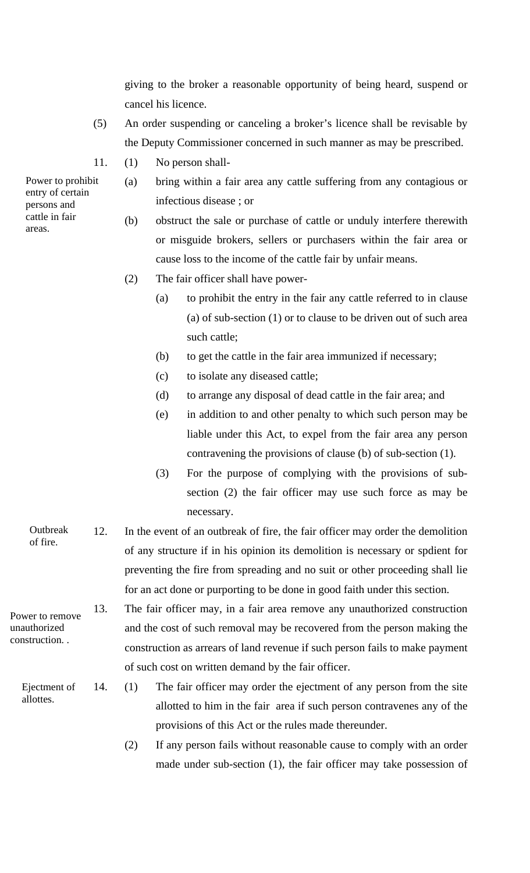giving to the broker a reasonable opportunity of being heard, suspend or cancel his licence.

- (5) An order suspending or canceling a broker's licence shall be revisable by the Deputy Commissioner concerned in such manner as may be prescribed.
- 11. (1) No person shall-
	- (a) bring within a fair area any cattle suffering from any contagious or infectious disease ; or
		- (b) obstruct the sale or purchase of cattle or unduly interfere therewith or misguide brokers, sellers or purchasers within the fair area or cause loss to the income of the cattle fair by unfair means.
		- (2) The fair officer shall have power-
			- (a) to prohibit the entry in the fair any cattle referred to in clause (a) of sub-section (1) or to clause to be driven out of such area such cattle;
			- (b) to get the cattle in the fair area immunized if necessary;
			- (c) to isolate any diseased cattle;
			- (d) to arrange any disposal of dead cattle in the fair area; and
			- (e) in addition to and other penalty to which such person may be liable under this Act, to expel from the fair area any person contravening the provisions of clause (b) of sub-section (1).
			- (3) For the purpose of complying with the provisions of subsection (2) the fair officer may use such force as may be necessary.
- **Outbreak** of fire. 12. In the event of an outbreak of fire, the fair officer may order the demolition of any structure if in his opinion its demolition is necessary or spdient for preventing the fire from spreading and no suit or other proceeding shall lie for an act done or purporting to be done in good faith under this section.
	- 13. The fair officer may, in a fair area remove any unauthorized construction and the cost of such removal may be recovered from the person making the construction as arrears of land revenue if such person fails to make payment of such cost on written demand by the fair officer.
		- 14. (1) The fair officer may order the ejectment of any person from the site allotted to him in the fair area if such person contravenes any of the provisions of this Act or the rules made thereunder.
			- (2) If any person fails without reasonable cause to comply with an order made under sub-section (1), the fair officer may take possession of

Power to prohibit entry of certain persons and cattle in fair areas.

Power to remove unauthorized construction. .

> Ejectment of allottes.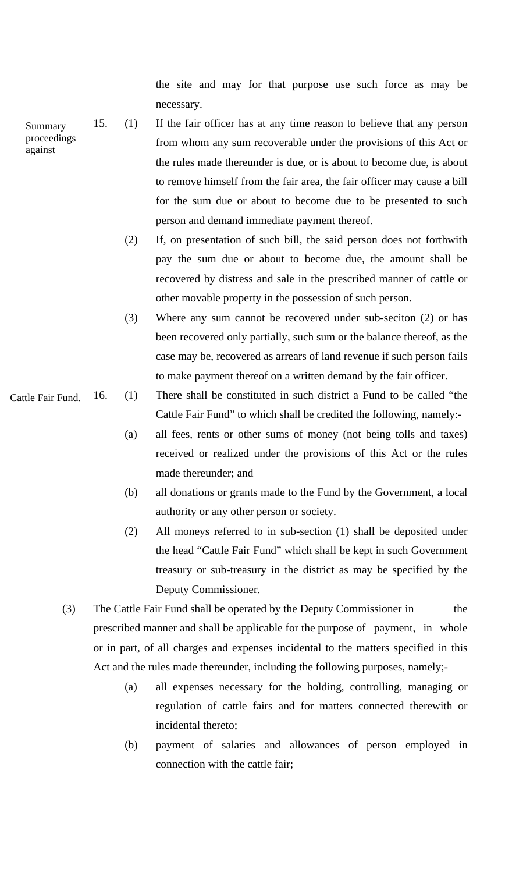the site and may for that purpose use such force as may be necessary.

- 15. (1) If the fair officer has at any time reason to believe that any person from whom any sum recoverable under the provisions of this Act or the rules made thereunder is due, or is about to become due, is about to remove himself from the fair area, the fair officer may cause a bill for the sum due or about to become due to be presented to such person and demand immediate payment thereof. Summary proceedings against
	- (2) If, on presentation of such bill, the said person does not forthwith pay the sum due or about to become due, the amount shall be recovered by distress and sale in the prescribed manner of cattle or other movable property in the possession of such person.
	- (3) Where any sum cannot be recovered under sub-seciton (2) or has been recovered only partially, such sum or the balance thereof, as the case may be, recovered as arrears of land revenue if such person fails to make payment thereof on a written demand by the fair officer.
	- 16. (1) There shall be constituted in such district a Fund to be called "the Cattle Fair Fund" to which shall be credited the following, namely:-
		- (a) all fees, rents or other sums of money (not being tolls and taxes) received or realized under the provisions of this Act or the rules made thereunder; and
		- (b) all donations or grants made to the Fund by the Government, a local authority or any other person or society.
		- (2) All moneys referred to in sub-section (1) shall be deposited under the head "Cattle Fair Fund" which shall be kept in such Government treasury or sub-treasury in the district as may be specified by the Deputy Commissioner.
		- (3) The Cattle Fair Fund shall be operated by the Deputy Commissioner in the prescribed manner and shall be applicable for the purpose of payment, in whole or in part, of all charges and expenses incidental to the matters specified in this Act and the rules made thereunder, including the following purposes, namely;-
			- (a) all expenses necessary for the holding, controlling, managing or regulation of cattle fairs and for matters connected therewith or incidental thereto;
			- (b) payment of salaries and allowances of person employed in connection with the cattle fair;

Cattle Fair Fund.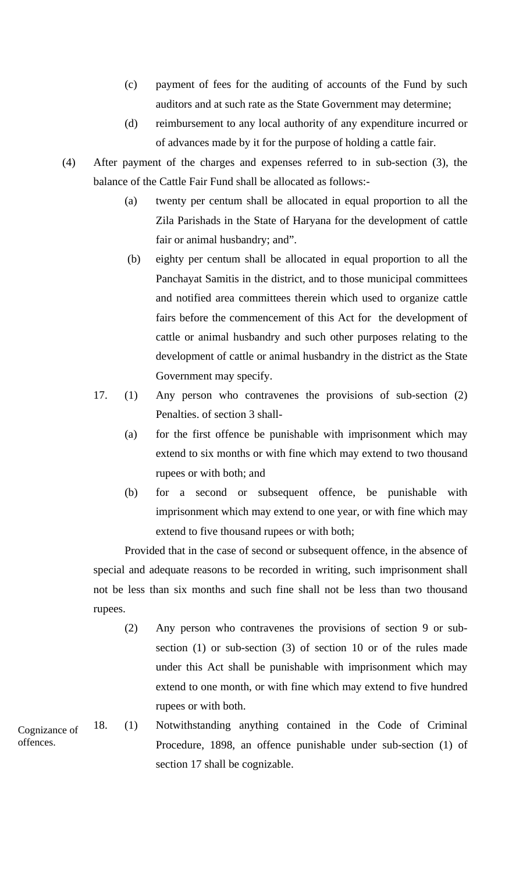- (c) payment of fees for the auditing of accounts of the Fund by such auditors and at such rate as the State Government may determine;
- (d) reimbursement to any local authority of any expenditure incurred or of advances made by it for the purpose of holding a cattle fair.
- (4) After payment of the charges and expenses referred to in sub-section (3), the balance of the Cattle Fair Fund shall be allocated as follows:-
	- (a) twenty per centum shall be allocated in equal proportion to all the Zila Parishads in the State of Haryana for the development of cattle fair or animal husbandry; and".
	- (b) eighty per centum shall be allocated in equal proportion to all the Panchayat Samitis in the district, and to those municipal committees and notified area committees therein which used to organize cattle fairs before the commencement of this Act for the development of cattle or animal husbandry and such other purposes relating to the development of cattle or animal husbandry in the district as the State Government may specify.
	- 17. (1) Any person who contravenes the provisions of sub-section (2) Penalties. of section 3 shall-
		- (a) for the first offence be punishable with imprisonment which may extend to six months or with fine which may extend to two thousand rupees or with both; and
		- (b) for a second or subsequent offence, be punishable with imprisonment which may extend to one year, or with fine which may extend to five thousand rupees or with both;

Provided that in the case of second or subsequent offence, in the absence of special and adequate reasons to be recorded in writing, such imprisonment shall not be less than six months and such fine shall not be less than two thousand rupees.

- (2) Any person who contravenes the provisions of section 9 or subsection (1) or sub-section (3) of section 10 or of the rules made under this Act shall be punishable with imprisonment which may extend to one month, or with fine which may extend to five hundred rupees or with both.
- 18. (1) Notwithstanding anything contained in the Code of Criminal Procedure, 1898, an offence punishable under sub-section (1) of section 17 shall be cognizable. Cognizance of offences.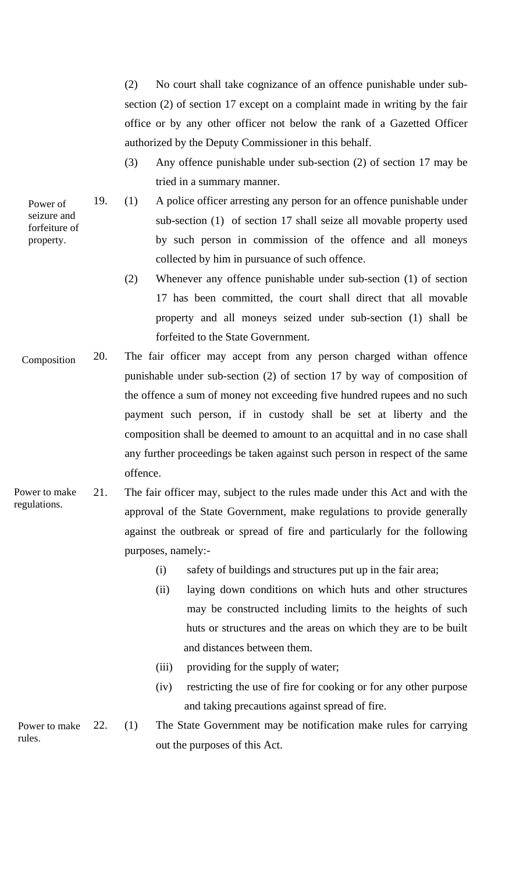(2) No court shall take cognizance of an offence punishable under subsection (2) of section 17 except on a complaint made in writing by the fair office or by any other officer not below the rank of a Gazetted Officer authorized by the Deputy Commissioner in this behalf.

- (3) Any offence punishable under sub-section (2) of section 17 may be tried in a summary manner.
- 19. (1) A police officer arresting any person for an offence punishable under sub-section (1) of section 17 shall seize all movable property used by such person in commission of the offence and all moneys collected by him in pursuance of such offence.
	- (2) Whenever any offence punishable under sub-section (1) of section 17 has been committed, the court shall direct that all movable property and all moneys seized under sub-section (1) shall be forfeited to the State Government.
- 20. The fair officer may accept from any person charged withan offence punishable under sub-section (2) of section 17 by way of composition of the offence a sum of money not exceeding five hundred rupees and no such payment such person, if in custody shall be set at liberty and the composition shall be deemed to amount to an acquittal and in no case shall any further proceedings be taken against such person in respect of the same offence. Composition
- Power to make regulations. 21. The fair officer may, subject to the rules made under this Act and with the approval of the State Government, make regulations to provide generally against the outbreak or spread of fire and particularly for the following purposes, namely:-
	- (i) safety of buildings and structures put up in the fair area;
	- (ii) laying down conditions on which huts and other structures may be constructed including limits to the heights of such huts or structures and the areas on which they are to be built and distances between them.
	- (iii) providing for the supply of water;
	- (iv) restricting the use of fire for cooking or for any other purpose and taking precautions against spread of fire.

rules. 22. (1) The State Government may be notification make rules for carrying out the purposes of this Act.

Power of seizure and forfeiture of property.

- 
- 

Power to make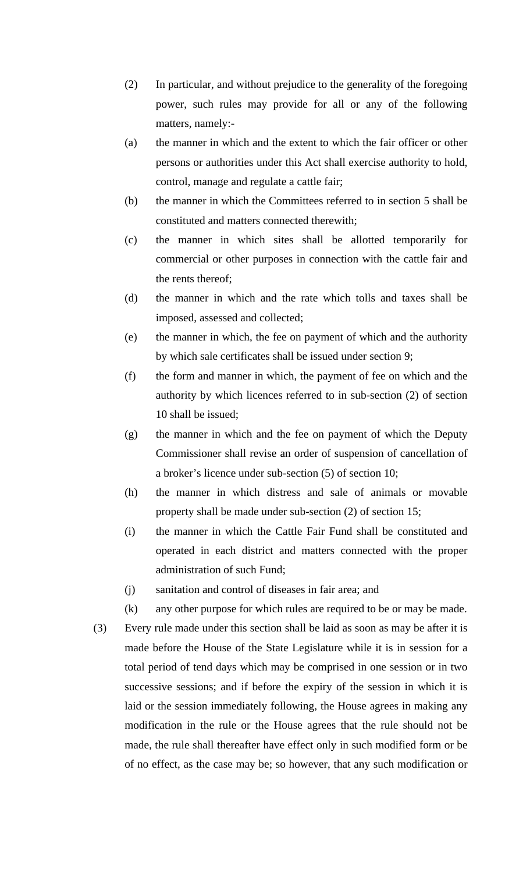- (2) In particular, and without prejudice to the generality of the foregoing power, such rules may provide for all or any of the following matters, namely:-
- (a) the manner in which and the extent to which the fair officer or other persons or authorities under this Act shall exercise authority to hold, control, manage and regulate a cattle fair;
- (b) the manner in which the Committees referred to in section 5 shall be constituted and matters connected therewith;
- (c) the manner in which sites shall be allotted temporarily for commercial or other purposes in connection with the cattle fair and the rents thereof;
- (d) the manner in which and the rate which tolls and taxes shall be imposed, assessed and collected;
- (e) the manner in which, the fee on payment of which and the authority by which sale certificates shall be issued under section 9;
- (f) the form and manner in which, the payment of fee on which and the authority by which licences referred to in sub-section (2) of section 10 shall be issued;
- (g) the manner in which and the fee on payment of which the Deputy Commissioner shall revise an order of suspension of cancellation of a broker's licence under sub-section (5) of section 10;
- (h) the manner in which distress and sale of animals or movable property shall be made under sub-section (2) of section 15;
- (i) the manner in which the Cattle Fair Fund shall be constituted and operated in each district and matters connected with the proper administration of such Fund;
- (j) sanitation and control of diseases in fair area; and
- (k) any other purpose for which rules are required to be or may be made.
- (3) Every rule made under this section shall be laid as soon as may be after it is made before the House of the State Legislature while it is in session for a total period of tend days which may be comprised in one session or in two successive sessions; and if before the expiry of the session in which it is laid or the session immediately following, the House agrees in making any modification in the rule or the House agrees that the rule should not be made, the rule shall thereafter have effect only in such modified form or be of no effect, as the case may be; so however, that any such modification or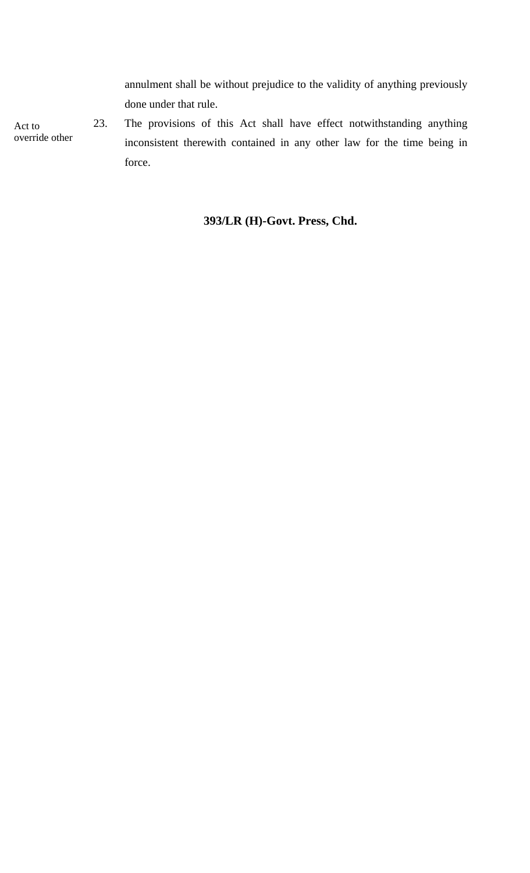annulment shall be without prejudice to the validity of anything previously done under that rule.

Act to override other

23. The provisions of this Act shall have effect notwithstanding anything inconsistent therewith contained in any other law for the time being in force.

#### **393/LR (H)-Govt. Press, Chd.**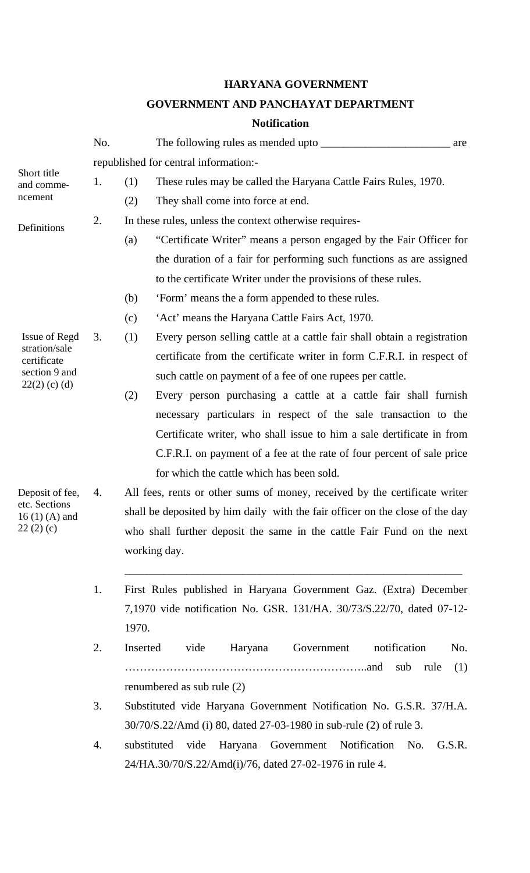### **HARYANA GOVERNMENT**

#### **GOVERNMENT AND PANCHAYAT DEPARTMENT**

#### **Notification**

|                                | No. |          | The following rules as mended upto                                            | are |
|--------------------------------|-----|----------|-------------------------------------------------------------------------------|-----|
|                                |     |          | republished for central information:-                                         |     |
| Short title<br>and comme-      | 1.  | (1)      | These rules may be called the Haryana Cattle Fairs Rules, 1970.               |     |
| ncement                        |     | (2)      | They shall come into force at end.                                            |     |
|                                | 2.  |          | In these rules, unless the context otherwise requires-                        |     |
| Definitions                    |     | (a)      | "Certificate Writer" means a person engaged by the Fair Officer for           |     |
|                                |     |          | the duration of a fair for performing such functions as are assigned          |     |
|                                |     |          | to the certificate Writer under the provisions of these rules.                |     |
|                                |     | (b)      | 'Form' means the a form appended to these rules.                              |     |
|                                |     | (c)      | 'Act' means the Haryana Cattle Fairs Act, 1970.                               |     |
| Issue of Regd                  | 3.  | (1)      | Every person selling cattle at a cattle fair shall obtain a registration      |     |
| stration/sale<br>certificate   |     |          | certificate from the certificate writer in form C.F.R.I. in respect of        |     |
| section 9 and                  |     |          | such cattle on payment of a fee of one rupees per cattle.                     |     |
| $22(2)$ (c) (d)                |     | (2)      | Every person purchasing a cattle at a cattle fair shall furnish               |     |
|                                |     |          | necessary particulars in respect of the sale transaction to the               |     |
|                                |     |          | Certificate writer, who shall issue to him a sale dertificate in from         |     |
|                                |     |          | C.F.R.I. on payment of a fee at the rate of four percent of sale price        |     |
|                                |     |          | for which the cattle which has been sold.                                     |     |
| Deposit of fee,                | 4.  |          | All fees, rents or other sums of money, received by the certificate writer    |     |
| etc. Sections                  |     |          | shall be deposited by him daily with the fair officer on the close of the day |     |
| 16 $(1)$ $(A)$ and<br>22(2)(c) |     |          | who shall further deposit the same in the cattle Fair Fund on the next        |     |
|                                |     |          | working day.                                                                  |     |
|                                |     |          |                                                                               |     |
|                                | 1.  |          | First Rules published in Haryana Government Gaz. (Extra) December             |     |
|                                |     |          | 7,1970 vide notification No. GSR. 131/HA. 30/73/S.22/70, dated 07-12-         |     |
|                                |     | 1970.    |                                                                               |     |
|                                | 2.  | Inserted | notification<br>vide<br>Haryana<br>Government                                 | No. |
|                                |     |          |                                                                               |     |
|                                |     |          | sub<br>rule                                                                   | (1) |
|                                |     |          | renumbered as sub rule (2)                                                    |     |
|                                | 3.  |          | Substituted vide Haryana Government Notification No. G.S.R. 37/H.A.           |     |
|                                |     |          | 30/70/S.22/Amd (i) 80, dated 27-03-1980 in sub-rule (2) of rule 3.            |     |
|                                | 4.  |          | substituted<br>Government Notification No.<br>G.S.R.<br>vide<br>Haryana       |     |
|                                |     |          | 24/HA.30/70/S.22/Amd(i)/76, dated 27-02-1976 in rule 4.                       |     |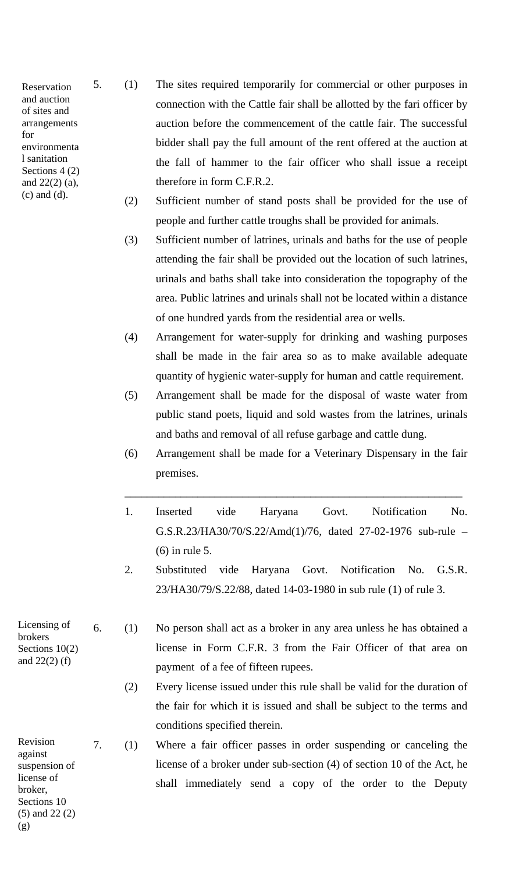Reservation and auction of sites and arrangements for environmenta l sanitation Sections 4 (2) and 22(2) (a), 5. (1) The sites required temporarily for commercial or other purposes in connection with the Cattle fair shall be allotted by the fari officer by auction before the commencement of the cattle fair. The successful bidder shall pay the full amount of the rent offered at the auction at the fall of hammer to the fair officer who shall issue a receipt therefore in form C.F.R.2.

- (c) and (d). (2) Sufficient number of stand posts shall be provided for the use of people and further cattle troughs shall be provided for animals.
	- (3) Sufficient number of latrines, urinals and baths for the use of people attending the fair shall be provided out the location of such latrines, urinals and baths shall take into consideration the topography of the area. Public latrines and urinals shall not be located within a distance of one hundred yards from the residential area or wells.
	- (4) Arrangement for water-supply for drinking and washing purposes shall be made in the fair area so as to make available adequate quantity of hygienic water-supply for human and cattle requirement.
	- (5) Arrangement shall be made for the disposal of waste water from public stand poets, liquid and sold wastes from the latrines, urinals and baths and removal of all refuse garbage and cattle dung.
	- (6) Arrangement shall be made for a Veterinary Dispensary in the fair premises.

\_\_\_\_\_\_\_\_\_\_\_\_\_\_\_\_\_\_\_\_\_\_\_\_\_\_\_\_\_\_\_\_\_\_\_\_\_\_\_\_\_\_\_\_\_\_\_\_\_\_\_\_\_\_\_\_\_\_\_\_

- 1. Inserted vide Haryana Govt. Notification No. G.S.R.23/HA30/70/S.22/Amd(1)/76, dated 27-02-1976 sub-rule – (6) in rule 5.
- 2. Substituted vide Haryana Govt. Notification No. G.S.R. 23/HA30/79/S.22/88, dated 14-03-1980 in sub rule (1) of rule 3.

6. (1) No person shall act as a broker in any area unless he has obtained a license in Form C.F.R. 3 from the Fair Officer of that area on payment of a fee of fifteen rupees.

(2) Every license issued under this rule shall be valid for the duration of the fair for which it is issued and shall be subject to the terms and conditions specified therein.

7. (1) Where a fair officer passes in order suspending or canceling the license of a broker under sub-section (4) of section 10 of the Act, he shall immediately send a copy of the order to the Deputy

Licensing of brokers Sections 10(2) and 22(2) (f)

Revision against suspension of license of broker, Sections 10 (5) and 22 (2) (g)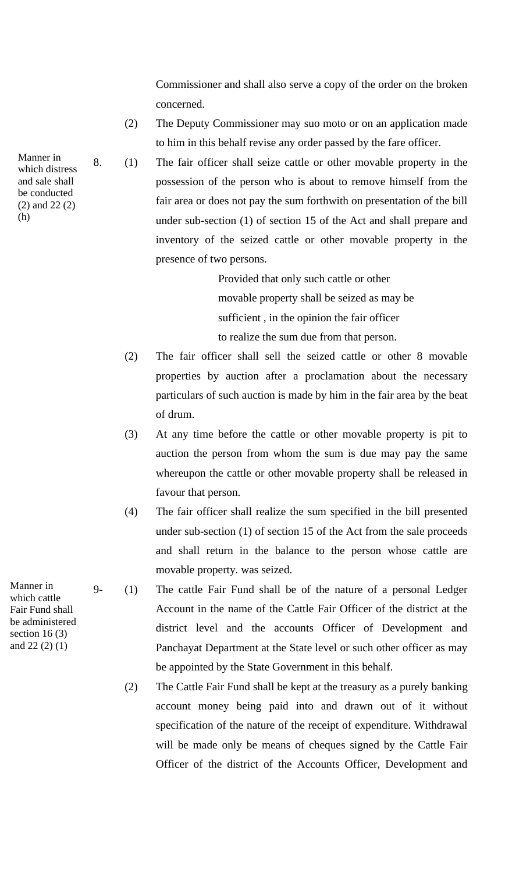Commissioner and shall also serve a copy of the order on the broken concerned.

- (2) The Deputy Commissioner may suo moto or on an application made to him in this behalf revise any order passed by the fare officer.
- 8. (1) The fair officer shall seize cattle or other movable property in the possession of the person who is about to remove himself from the fair area or does not pay the sum forthwith on presentation of the bill under sub-section (1) of section 15 of the Act and shall prepare and inventory of the seized cattle or other movable property in the presence of two persons.

Provided that only such cattle or other movable property shall be seized as may be sufficient , in the opinion the fair officer to realize the sum due from that person.

- (2) The fair officer shall sell the seized cattle or other 8 movable properties by auction after a proclamation about the necessary particulars of such auction is made by him in the fair area by the beat of drum.
- (3) At any time before the cattle or other movable property is pit to auction the person from whom the sum is due may pay the same whereupon the cattle or other movable property shall be released in favour that person.
- (4) The fair officer shall realize the sum specified in the bill presented under sub-section (1) of section 15 of the Act from the sale proceeds and shall return in the balance to the person whose cattle are movable property. was seized.
- 9- (1) The cattle Fair Fund shall be of the nature of a personal Ledger Account in the name of the Cattle Fair Officer of the district at the district level and the accounts Officer of Development and Panchayat Department at the State level or such other officer as may be appointed by the State Government in this behalf.
	- (2) The Cattle Fair Fund shall be kept at the treasury as a purely banking account money being paid into and drawn out of it without specification of the nature of the receipt of expenditure. Withdrawal will be made only be means of cheques signed by the Cattle Fair Officer of the district of the Accounts Officer, Development and

Manner in which distress and sale shall be conducted (2) and 22 (2) (h)

Manner in which cattle Fair Fund shall be administered section  $16(3)$ and 22 (2) (1)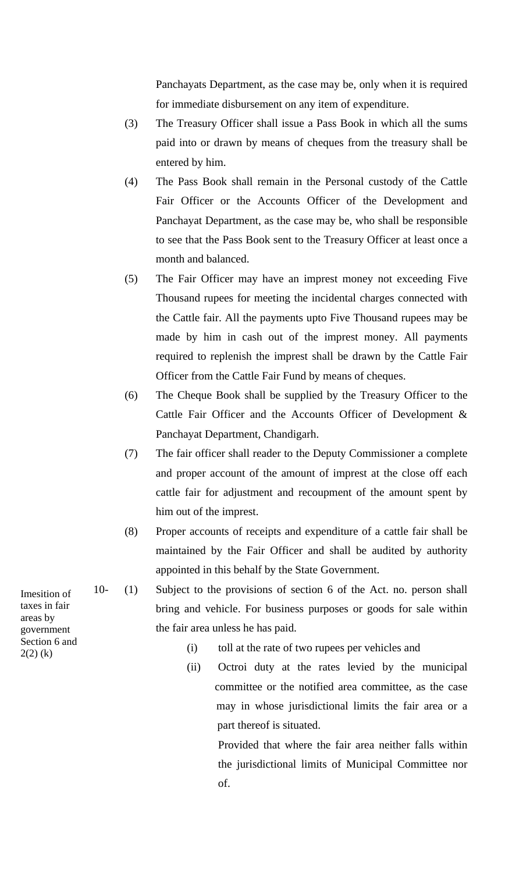Panchayats Department, as the case may be, only when it is required for immediate disbursement on any item of expenditure.

- (3) The Treasury Officer shall issue a Pass Book in which all the sums paid into or drawn by means of cheques from the treasury shall be entered by him.
- (4) The Pass Book shall remain in the Personal custody of the Cattle Fair Officer or the Accounts Officer of the Development and Panchayat Department, as the case may be, who shall be responsible to see that the Pass Book sent to the Treasury Officer at least once a month and balanced.
- (5) The Fair Officer may have an imprest money not exceeding Five Thousand rupees for meeting the incidental charges connected with the Cattle fair. All the payments upto Five Thousand rupees may be made by him in cash out of the imprest money. All payments required to replenish the imprest shall be drawn by the Cattle Fair Officer from the Cattle Fair Fund by means of cheques.
- (6) The Cheque Book shall be supplied by the Treasury Officer to the Cattle Fair Officer and the Accounts Officer of Development & Panchayat Department, Chandigarh.
- (7) The fair officer shall reader to the Deputy Commissioner a complete and proper account of the amount of imprest at the close off each cattle fair for adjustment and recoupment of the amount spent by him out of the imprest.
- (8) Proper accounts of receipts and expenditure of a cattle fair shall be maintained by the Fair Officer and shall be audited by authority appointed in this behalf by the State Government.
- 10- (1) Subject to the provisions of section 6 of the Act. no. person shall bring and vehicle. For business purposes or goods for sale within the fair area unless he has paid.
- $2(2)$  (k) (i) toll at the rate of two rupees per vehicles and  $2(2)$  (k)
	- (ii) Octroi duty at the rates levied by the municipal committee or the notified area committee, as the case may in whose jurisdictional limits the fair area or a part thereof is situated.

Provided that where the fair area neither falls within the jurisdictional limits of Municipal Committee nor of.

Imesition of taxes in fair areas by government Section 6 and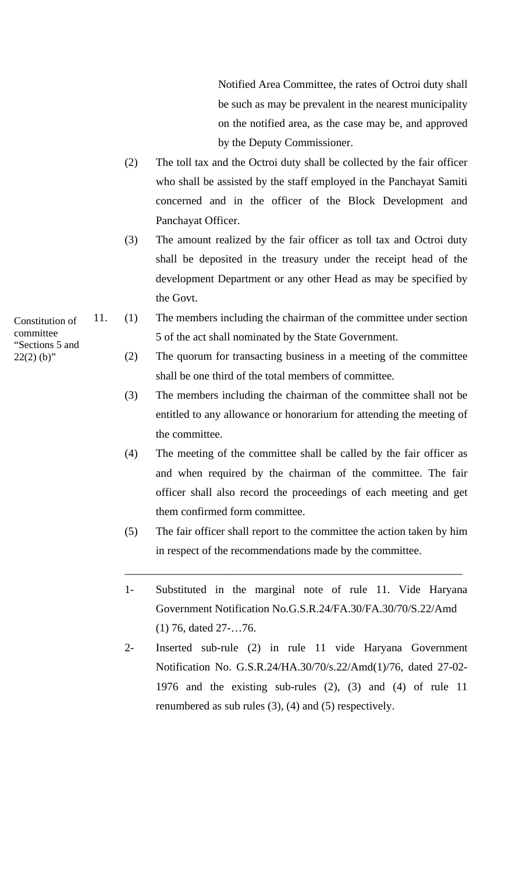Notified Area Committee, the rates of Octroi duty shall be such as may be prevalent in the nearest municipality on the notified area, as the case may be, and approved by the Deputy Commissioner.

- (2) The toll tax and the Octroi duty shall be collected by the fair officer who shall be assisted by the staff employed in the Panchayat Samiti concerned and in the officer of the Block Development and Panchayat Officer.
- (3) The amount realized by the fair officer as toll tax and Octroi duty shall be deposited in the treasury under the receipt head of the development Department or any other Head as may be specified by the Govt.
- 11. (1) The members including the chairman of the committee under section 5 of the act shall nominated by the State Government.
- $22(2)$  (b)" (2) The quorum for transacting business in a meeting of the committee shall be one third of the total members of committee.
	- (3) The members including the chairman of the committee shall not be entitled to any allowance or honorarium for attending the meeting of the committee.
	- (4) The meeting of the committee shall be called by the fair officer as and when required by the chairman of the committee. The fair officer shall also record the proceedings of each meeting and get them confirmed form committee.
	- (5) The fair officer shall report to the committee the action taken by him in respect of the recommendations made by the committee.

\_\_\_\_\_\_\_\_\_\_\_\_\_\_\_\_\_\_\_\_\_\_\_\_\_\_\_\_\_\_\_\_\_\_\_\_\_\_\_\_\_\_\_\_\_\_\_\_\_\_\_\_\_\_\_\_\_\_\_\_

- 1- Substituted in the marginal note of rule 11. Vide Haryana Government Notification No.G.S.R.24/FA.30/FA.30/70/S.22/Amd (1) 76, dated 27-…76.
- 2- Inserted sub-rule (2) in rule 11 vide Haryana Government Notification No. G.S.R.24/HA.30/70/s.22/Amd(1)/76, dated 27-02- 1976 and the existing sub-rules (2), (3) and (4) of rule 11 renumbered as sub rules (3), (4) and (5) respectively.

Constitution of committee "Sections 5 and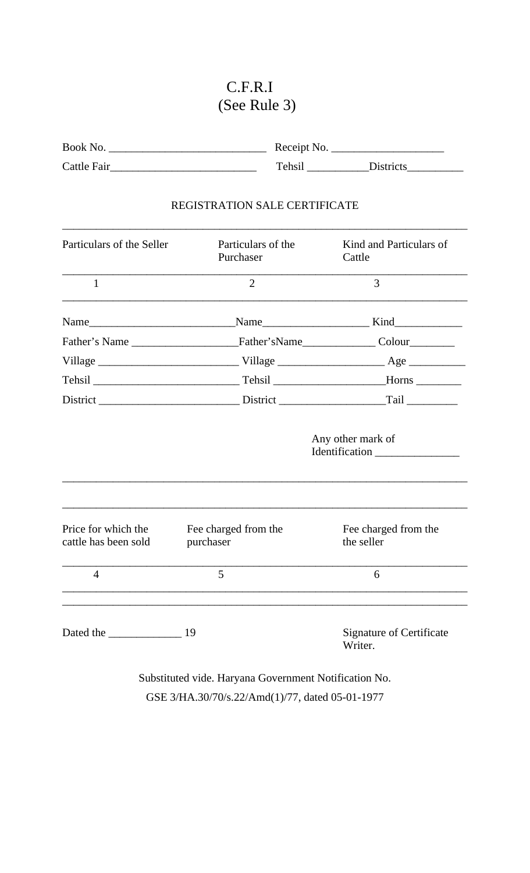## C.F.R.I (See Rule 3)

| Book No.    | Receipt No. |                  |
|-------------|-------------|------------------|
| Cattle Fair | Tehsil      | <b>Districts</b> |

### REGISTRATION SALE CERTIFICATE

\_\_\_\_\_\_\_\_\_\_\_\_\_\_\_\_\_\_\_\_\_\_\_\_\_\_\_\_\_\_\_\_\_\_\_\_\_\_\_\_\_\_\_\_\_\_\_\_\_\_\_\_\_\_\_\_\_\_\_\_\_\_\_\_\_\_\_\_\_\_\_\_

| Particulars of the Seller                   | Particulars of the<br>Purchaser   | Kind and Particulars of<br>Cattle          |
|---------------------------------------------|-----------------------------------|--------------------------------------------|
| $\mathbf{1}$                                | $\overline{2}$                    | 3                                          |
|                                             |                                   |                                            |
|                                             |                                   |                                            |
|                                             |                                   |                                            |
|                                             |                                   |                                            |
|                                             |                                   |                                            |
|                                             |                                   |                                            |
| Price for which the<br>cattle has been sold | Fee charged from the<br>purchaser | Fee charged from the<br>the seller         |
| $\overline{4}$                              | 5                                 | 6                                          |
|                                             |                                   | <b>Signature of Certificate</b><br>Writer. |

Substituted vide. Haryana Government Notification No. GSE 3/HA.30/70/s.22/Amd(1)/77, dated 05-01-1977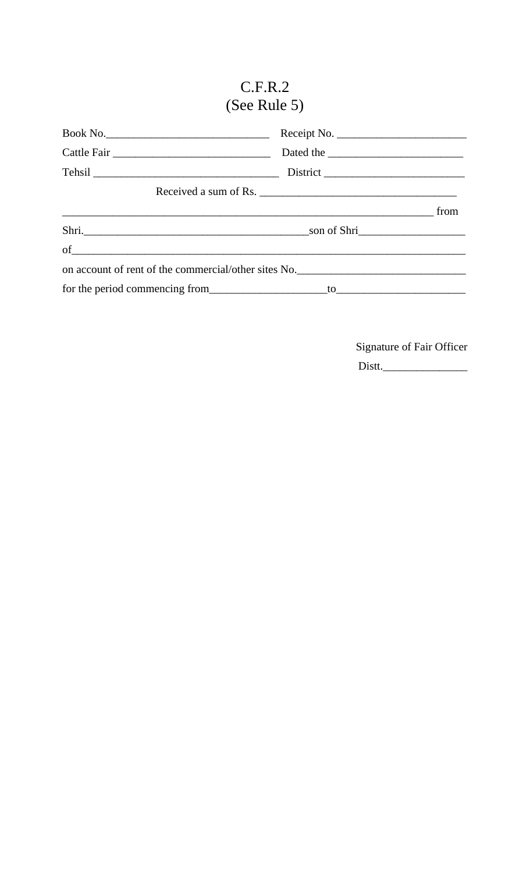# $C.F.R.2$ (See Rule 5)

|                                                      | Received a sum of Rs. |
|------------------------------------------------------|-----------------------|
|                                                      | from                  |
|                                                      |                       |
| $of$ $\overline{\phantom{a}}$                        |                       |
| on account of rent of the commercial/other sites No. |                       |
|                                                      |                       |

Signature of Fair Officer

Distt.